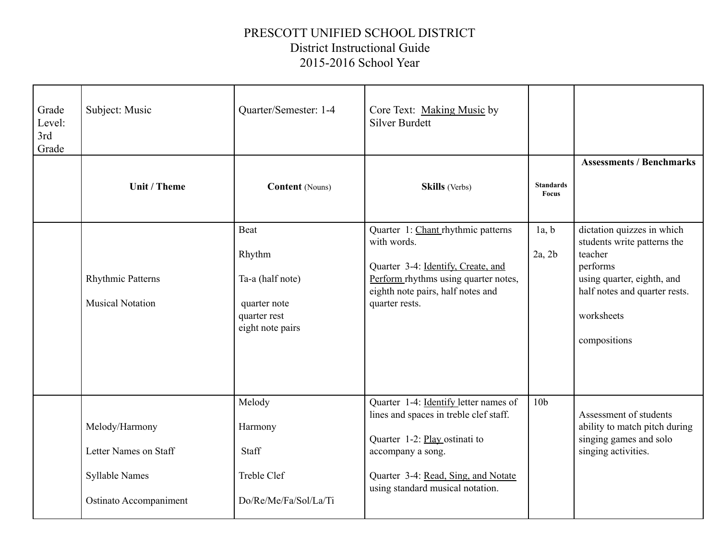## PRESCOTT UNIFIED SCHOOL DISTRICT District Instructional Guide 2015-2016 School Year

| Grade<br>Level:<br>3rd<br>Grade | Subject: Music                                                                             | Quarter/Semester: 1-4                                                                  | Core Text: Making Music by<br><b>Silver Burdett</b>                                                                                                                                                              |                                  |                                                                                                                                                                               |
|---------------------------------|--------------------------------------------------------------------------------------------|----------------------------------------------------------------------------------------|------------------------------------------------------------------------------------------------------------------------------------------------------------------------------------------------------------------|----------------------------------|-------------------------------------------------------------------------------------------------------------------------------------------------------------------------------|
|                                 | Unit / Theme                                                                               | <b>Content</b> (Nouns)                                                                 | <b>Skills</b> (Verbs)                                                                                                                                                                                            | <b>Standards</b><br><b>Focus</b> | <b>Assessments / Benchmarks</b>                                                                                                                                               |
|                                 | <b>Rhythmic Patterns</b><br><b>Musical Notation</b>                                        | Beat<br>Rhythm<br>Ta-a (half note)<br>quarter note<br>quarter rest<br>eight note pairs | Quarter 1: Chant rhythmic patterns<br>with words.<br>Quarter 3-4: Identify, Create, and<br>Perform rhythms using quarter notes,<br>eighth note pairs, half notes and<br>quarter rests.                           | 1a, b<br>2a, 2b                  | dictation quizzes in which<br>students write patterns the<br>teacher<br>performs<br>using quarter, eighth, and<br>half notes and quarter rests.<br>worksheets<br>compositions |
|                                 | Melody/Harmony<br>Letter Names on Staff<br><b>Syllable Names</b><br>Ostinato Accompaniment | Melody<br>Harmony<br>Staff<br>Treble Clef<br>Do/Re/Me/Fa/Sol/La/Ti                     | Quarter 1-4: Identify letter names of<br>lines and spaces in treble clef staff.<br>Quarter 1-2: Play ostinati to<br>accompany a song.<br>Quarter 3-4: Read, Sing, and Notate<br>using standard musical notation. | 10 <sub>b</sub>                  | Assessment of students<br>ability to match pitch during<br>singing games and solo<br>singing activities.                                                                      |